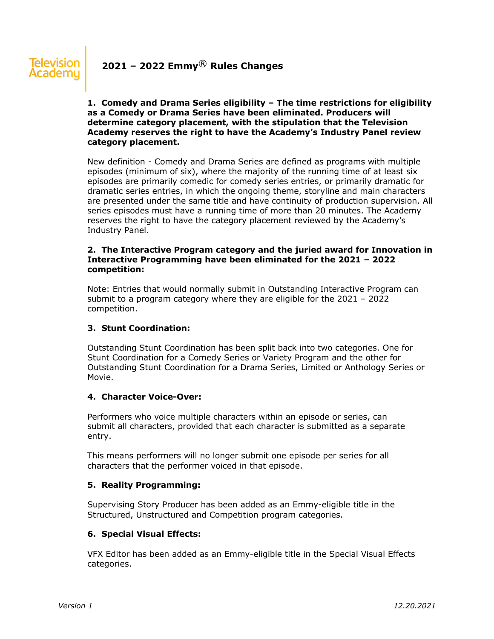# **1. Comedy and Drama Series eligibility – The time restrictions for eligibility as a Comedy or Drama Series have been eliminated. Producers will determine category placement, with the stipulation that the Television Academy reserves the right to have the Academy's Industry Panel review category placement.**

New definition - Comedy and Drama Series are defined as programs with multiple episodes (minimum of six), where the majority of the running time of at least six episodes are primarily comedic for comedy series entries, or primarily dramatic for dramatic series entries, in which the ongoing theme, storyline and main characters are presented under the same title and have continuity of production supervision. All series episodes must have a running time of more than 20 minutes. The Academy reserves the right to have the category placement reviewed by the Academy's Industry Panel.

### **2. The Interactive Program category and the juried award for Innovation in Interactive Programming have been eliminated for the 2021 – 2022 competition:**

Note: Entries that would normally submit in Outstanding Interactive Program can submit to a program category where they are eligible for the 2021 – 2022 competition.

# **3. Stunt Coordination:**

Outstanding Stunt Coordination has been split back into two categories. One for Stunt Coordination for a Comedy Series or Variety Program and the other for Outstanding Stunt Coordination for a Drama Series, Limited or Anthology Series or Movie.

# **4. Character Voice-Over:**

Performers who voice multiple characters within an episode or series, can submit all characters, provided that each character is submitted as a separate entry.

This means performers will no longer submit one episode per series for all characters that the performer voiced in that episode.

# **5. Reality Programming:**

Supervising Story Producer has been added as an Emmy-eligible title in the Structured, Unstructured and Competition program categories.

# **6. Special Visual Effects:**

VFX Editor has been added as an Emmy-eligible title in the Special Visual Effects categories.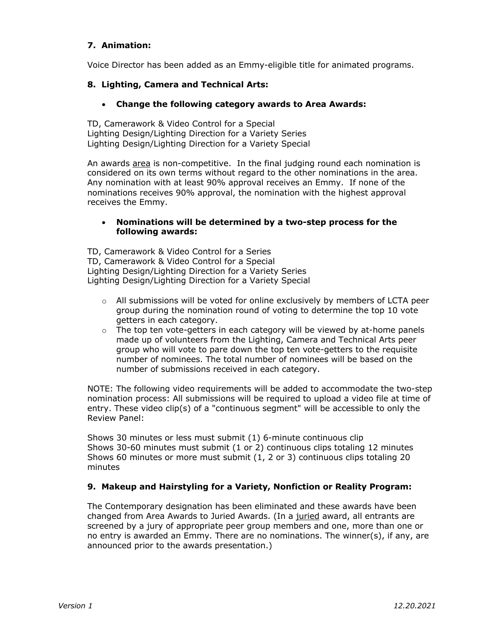# **7. Animation:**

Voice Director has been added as an Emmy-eligible title for animated programs.

# **8. Lighting, Camera and Technical Arts:**

### • **Change the following category awards to Area Awards:**

TD, Camerawork & Video Control for a Special Lighting Design/Lighting Direction for a Variety Series Lighting Design/Lighting Direction for a Variety Special

An awards area is non-competitive. In the final judging round each nomination is considered on its own terms without regard to the other nominations in the area. Any nomination with at least 90% approval receives an Emmy. If none of the nominations receives 90% approval, the nomination with the highest approval receives the Emmy.

### • **Nominations will be determined by a two-step process for the following awards:**

TD, Camerawork & Video Control for a Series TD, Camerawork & Video Control for a Special Lighting Design/Lighting Direction for a Variety Series Lighting Design/Lighting Direction for a Variety Special

- o All submissions will be voted for online exclusively by members of LCTA peer group during the nomination round of voting to determine the top 10 vote getters in each category.
- $\circ$  The top ten vote-getters in each category will be viewed by at-home panels made up of volunteers from the Lighting, Camera and Technical Arts peer group who will vote to pare down the top ten vote-getters to the requisite number of nominees. The total number of nominees will be based on the number of submissions received in each category.

NOTE: The following video requirements will be added to accommodate the two-step nomination process: All submissions will be required to upload a video file at time of entry. These video clip(s) of a "continuous segment" will be accessible to only the Review Panel:

Shows 30 minutes or less must submit (1) 6-minute continuous clip Shows 30-60 minutes must submit (1 or 2) continuous clips totaling 12 minutes Shows 60 minutes or more must submit (1, 2 or 3) continuous clips totaling 20 minutes

# **9. Makeup and Hairstyling for a Variety, Nonfiction or Reality Program:**

The Contemporary designation has been eliminated and these awards have been changed from Area Awards to Juried Awards. (In a juried award, all entrants are screened by a jury of appropriate peer group members and one, more than one or no entry is awarded an Emmy. There are no nominations. The winner(s), if any, are announced prior to the awards presentation.)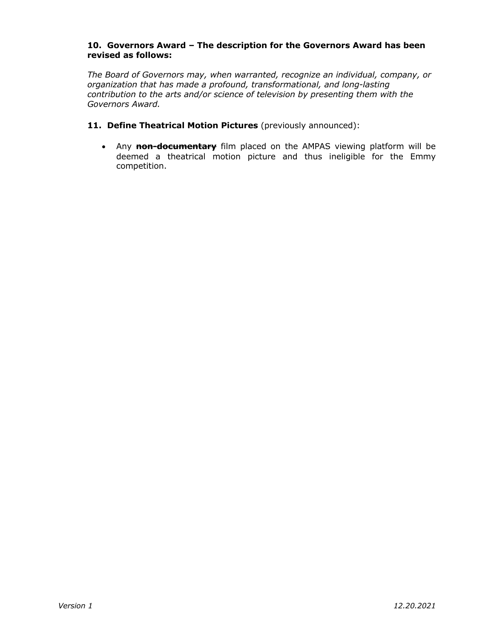### **10. Governors Award – The description for the Governors Award has been revised as follows:**

*The Board of Governors may, when warranted, recognize an individual, company, or organization that has made a profound, transformational, and long-lasting contribution to the arts and/or science of television by presenting them with the Governors Award.*

- **11. Define Theatrical Motion Pictures** (previously announced):
	- Any **non-documentary** film placed on the AMPAS viewing platform will be deemed a theatrical motion picture and thus ineligible for the Emmy competition.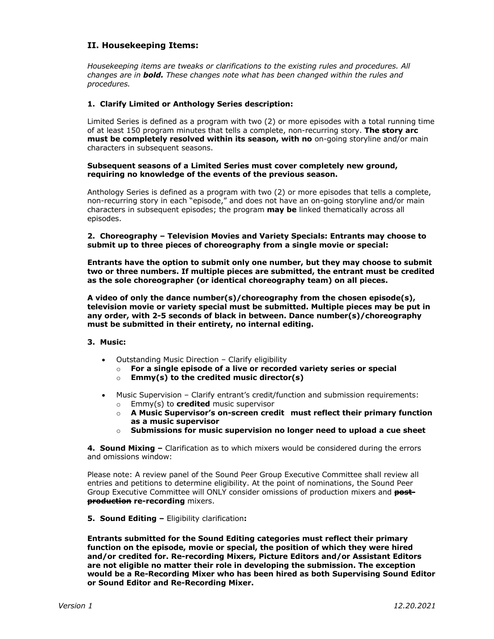### **II. Housekeeping Items:**

*Housekeeping items are tweaks or clarifications to the existing rules and procedures. All changes are in bold. These changes note what has been changed within the rules and procedures.* 

#### **1. Clarify Limited or Anthology Series description:**

Limited Series is defined as a program with two (2) or more episodes with a total running time of at least 150 program minutes that tells a complete, non-recurring story. **The story arc must be completely resolved within its season, with no** on-going storyline and/or main characters in subsequent seasons.

#### **Subsequent seasons of a Limited Series must cover completely new ground, requiring no knowledge of the events of the previous season.**

Anthology Series is defined as a program with two (2) or more episodes that tells a complete, non-recurring story in each "episode," and does not have an on-going storyline and/or main characters in subsequent episodes; the program **may be** linked thematically across all episodes.

**2. Choreography – Television Movies and Variety Specials: Entrants may choose to submit up to three pieces of choreography from a single movie or special:**

**Entrants have the option to submit only one number, but they may choose to submit two or three numbers. If multiple pieces are submitted, the entrant must be credited as the sole choreographer (or identical choreography team) on all pieces.**

**A video of only the dance number(s)/choreography from the chosen episode(s), television movie or variety special must be submitted. Multiple pieces may be put in any order, with 2-5 seconds of black in between. Dance number(s)/choreography must be submitted in their entirety, no internal editing.**

#### **3. Music:**

- Outstanding Music Direction Clarify eligibility
	- o **For a single episode of a live or recorded variety series or special**
	- o **Emmy(s) to the credited music director(s)**
- Music Supervision Clarify entrant's credit/function and submission requirements:
	- o Emmy(s) to **credited** music supervisor
	- o **A Music Supervisor's on-screen credit must reflect their primary function as a music supervisor**
	- o **Submissions for music supervision no longer need to upload a cue sheet**

**4. Sound Mixing –** Clarification as to which mixers would be considered during the errors and omissions window:

Please note: A review panel of the Sound Peer Group Executive Committee shall review all entries and petitions to determine eligibility. At the point of nominations, the Sound Peer Group Executive Committee will ONLY consider omissions of production mixers and **postproduction re-recording** mixers.

**5. Sound Editing –** Eligibility clarification**:**

**Entrants submitted for the Sound Editing categories must reflect their primary function on the episode, movie or special, the position of which they were hired and/or credited for. Re-recording Mixers, Picture Editors and/or Assistant Editors are not eligible no matter their role in developing the submission. The exception would be a Re-Recording Mixer who has been hired as both Supervising Sound Editor or Sound Editor and Re-Recording Mixer.**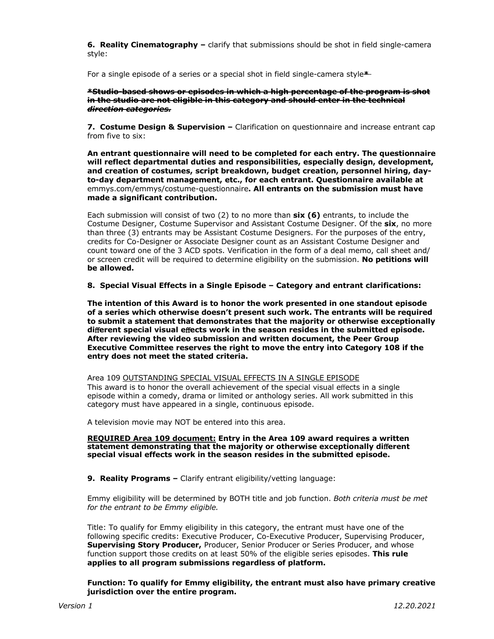**6. Reality Cinematography –** clarify that submissions should be shot in field single-camera style:

For a single episode of a series or a special shot in field single-camera style**\***

#### **\*Studio-based shows or episodes in which a high percentage of the program is shot in the studio are not eligible in this category and should enter in the technical** *direction categories.*

**7.****Costume Design & Supervision –** Clarification on questionnaire and increase entrant cap from five to six:

**An entrant questionnaire will need to be completed for each entry. The questionnaire will reflect departmental duties and responsibilities, especially design, development, and creation of costumes, script breakdown, budget creation, personnel hiring, dayto-day department management, etc., for each entrant. Questionnaire available at**  emmys.com/emmys/costume-questionnaire**. All entrants on the submission must have made a significant contribution.**

Each submission will consist of two (2) to no more than **six (6)** entrants, to include the Costume Designer, Costume Supervisor and Assistant Costume Designer. Of the **six**, no more than three (3) entrants may be Assistant Costume Designers. For the purposes of the entry, credits for Co-Designer or Associate Designer count as an Assistant Costume Designer and count toward one of the 3 ACD spots. Verification in the form of a deal memo, call sheet and/ or screen credit will be required to determine eligibility on the submission. **No petitions will be allowed.** 

**8. Special Visual Effects in a Single Episode – Category and entrant clarifications:**

**The intention of this Award is to honor the work presented in one standout episode of a series which otherwise doesn't present such work. The entrants will be required to submit a statement that demonstrates that the majority or otherwise exceptionally di**ff**erent special visual e**ff**ects work in the season resides in the submitted episode. After reviewing the video submission and written document, the Peer Group Executive Committee reserves the right to move the entry into Category 108 if the entry does not meet the stated criteria.**

Area 109 OUTSTANDING SPECIAL VISUAL EFFECTS IN A SINGLE EPISODE This award is to honor the overall achievement of the special visual effects in a single episode within a comedy, drama or limited or anthology series. All work submitted in this category must have appeared in a single, continuous episode.

A television movie may NOT be entered into this area.

#### **REQUIRED Area 109 document: Entry in the Area 109 award requires a written statement demonstrating that the majority or otherwise exceptionally di**ff**erent special visual effects work in the season resides in the submitted episode.**

**9. Reality Programs –** Clarify entrant eligibility/vetting language:

Emmy eligibility will be determined by BOTH title and job function. *Both criteria must be met for the entrant to be Emmy eligible.* 

Title: To qualify for Emmy eligibility in this category, the entrant must have one of the following specific credits: Executive Producer, Co-Executive Producer, Supervising Producer, **Supervising Story Producer,** Producer, Senior Producer or Series Producer, and whose function support those credits on at least 50% of the eligible series episodes. **This rule applies to all program submissions regardless of platform.**

**Function: To qualify for Emmy eligibility, the entrant must also have primary creative jurisdiction over the entire program.**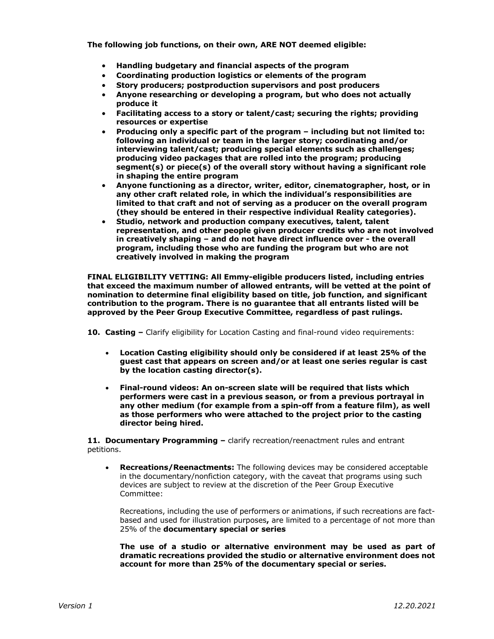**The following job functions, on their own, ARE NOT deemed eligible:** 

- **Handling budgetary and financial aspects of the program**
- **Coordinating production logistics or elements of the program**
- **Story producers; postproduction supervisors and post producers**
- **Anyone researching or developing a program, but who does not actually produce it**
- **Facilitating access to a story or talent/cast; securing the rights; providing resources or expertise**
- **Producing only a specific part of the program – including but not limited to: following an individual or team in the larger story; coordinating and/or interviewing talent/cast; producing special elements such as challenges; producing video packages that are rolled into the program; producing segment(s) or piece(s) of the overall story without having a significant role in shaping the entire program**
- **Anyone functioning as a director, writer, editor, cinematographer, host, or in any other craft related role, in which the individual's responsibilities are limited to that craft and not of serving as a producer on the overall program (they should be entered in their respective individual Reality categories).**
- **Studio, network and production company executives, talent, talent representation, and other people given producer credits who are not involved in creatively shaping – and do not have direct influence over - the overall program, including those who are funding the program but who are not creatively involved in making the program**

**FINAL ELIGIBILITY VETTING: All Emmy-eligible producers listed, including entries that exceed the maximum number of allowed entrants, will be vetted at the point of nomination to determine final eligibility based on title, job function, and significant contribution to the program. There is no guarantee that all entrants listed will be approved by the Peer Group Executive Committee, regardless of past rulings.**

**10. Casting –** Clarify eligibility for Location Casting and final-round video requirements:

- **Location Casting eligibility should only be considered if at least 25% of the guest cast that appears on screen and/or at least one series regular is cast by the location casting director(s).**
- **Final-round videos: An on-screen slate will be required that lists which performers were cast in a previous season, or from a previous portrayal in any other medium (for example from a spin-off from a feature film), as well as those performers who were attached to the project prior to the casting director being hired.**

**11. Documentary Programming –** clarify recreation/reenactment rules and entrant petitions.

• **Recreations/Reenactments:** The following devices may be considered acceptable in the documentary/nonfiction category, with the caveat that programs using such devices are subject to review at the discretion of the Peer Group Executive Committee:

Recreations, including the use of performers or animations, if such recreations are factbased and used for illustration purposes**,** are limited to a percentage of not more than 25% of the **documentary special or series**

**The use of a studio or alternative environment may be used as part of dramatic recreations provided the studio or alternative environment does not account for more than 25% of the documentary special or series.**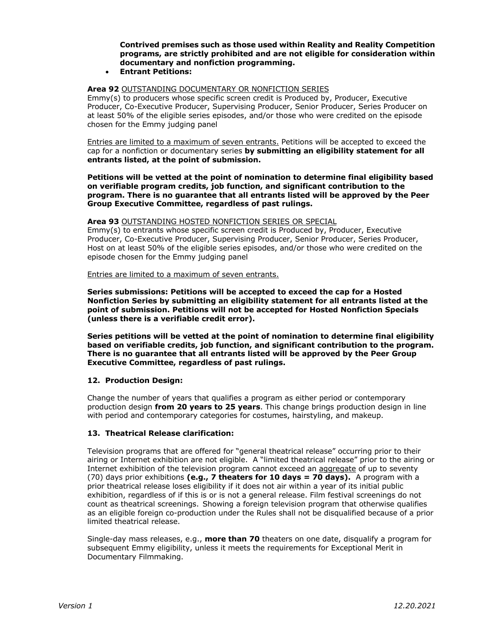**Contrived premises such as those used within Reality and Reality Competition programs, are strictly prohibited and are not eligible for consideration within documentary and nonfiction programming.**

• **Entrant Petitions:** 

#### **Area 92** OUTSTANDING DOCUMENTARY OR NONFICTION SERIES

Emmy(s) to producers whose specific screen credit is Produced by, Producer, Executive Producer, Co-Executive Producer, Supervising Producer, Senior Producer, Series Producer on at least 50% of the eligible series episodes, and/or those who were credited on the episode chosen for the Emmy judging panel

Entries are limited to a maximum of seven entrants. Petitions will be accepted to exceed the cap for a nonfiction or documentary series **by submitting an eligibility statement for all entrants listed, at the point of submission.**

**Petitions will be vetted at the point of nomination to determine final eligibility based on verifiable program credits, job function, and significant contribution to the program. There is no guarantee that all entrants listed will be approved by the Peer Group Executive Committee, regardless of past rulings.**

#### **Area 93** OUTSTANDING HOSTED NONFICTION SERIES OR SPECIAL

Emmy(s) to entrants whose specific screen credit is Produced by, Producer, Executive Producer, Co-Executive Producer, Supervising Producer, Senior Producer, Series Producer, Host on at least 50% of the eligible series episodes, and/or those who were credited on the episode chosen for the Emmy judging panel

Entries are limited to a maximum of seven entrants.

**Series submissions: Petitions will be accepted to exceed the cap for a Hosted Nonfiction Series by submitting an eligibility statement for all entrants listed at the point of submission. Petitions will not be accepted for Hosted Nonfiction Specials (unless there is a verifiable credit error).** 

**Series petitions will be vetted at the point of nomination to determine final eligibility based on verifiable credits, job function, and significant contribution to the program. There is no guarantee that all entrants listed will be approved by the Peer Group Executive Committee, regardless of past rulings.**

#### **12. Production Design:**

Change the number of years that qualifies a program as either period or contemporary production design **from 20 years to 25 years**. This change brings production design in line with period and contemporary categories for costumes, hairstyling, and makeup.

#### **13. Theatrical Release clarification:**

Television programs that are offered for "general theatrical release" occurring prior to their airing or Internet exhibition are not eligible. A "limited theatrical release" prior to the airing or Internet exhibition of the television program cannot exceed an aggregate of up to seventy (70) days prior exhibitions **(e.g., 7 theaters for 10 days = 70 days).** A program with a prior theatrical release loses eligibility if it does not air within a year of its initial public exhibition, regardless of if this is or is not a general release. Film festival screenings do not count as theatrical screenings. Showing a foreign television program that otherwise qualifies as an eligible foreign co-production under the Rules shall not be disqualified because of a prior limited theatrical release.

Single-day mass releases, e.g., **more than 70** theaters on one date, disqualify a program for subsequent Emmy eligibility, unless it meets the requirements for Exceptional Merit in Documentary Filmmaking.